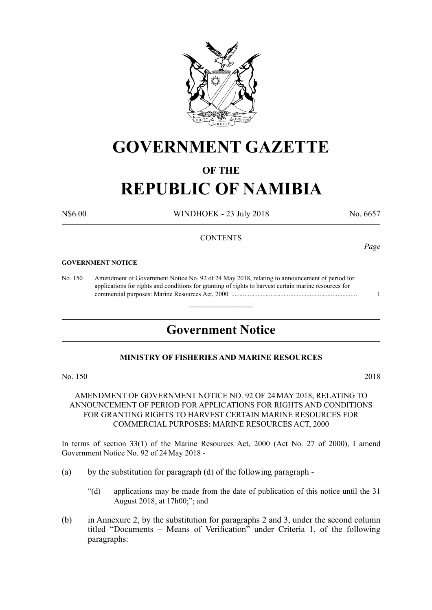

# **GOVERNMENT GAZETTE**

# **OF THE**

# **REPUBLIC OF NAMIBIA**

N\$6.00 WINDHOEK - 23 July 2018 No. 6657

### **CONTENTS**

#### **GOVERNMENT NOTICE**

No. 150 Amendment of Government Notice No. 92 of 24 May 2018, relating to announcement of period for applications for rights and conditions for granting of rights to harvest certain marine resources for commercial purposes: Marine Resources Act, 2000 ............................................................................. 1

# **Government Notice**

 $\overline{\phantom{a}}$  , where  $\overline{\phantom{a}}$ 

### **MINISTRY OF FISHERIES AND MARINE RESOURCES**

No. 150 2018

## AMENDMENT OF GOVERNMENT NOTICE NO. 92 OF 24MAY 2018, RELATING TO ANNOUNCEMENT OF PERIOD FOR APPLICATIONS FOR RIGHTS AND CONDITIONS FOR GRANTING RIGHTS TO HARVEST CERTAIN MARINE RESOURCES FOR COMMERCIAL PURPOSES: MARINE RESOURCES ACT, 2000

In terms of section 33(1) of the Marine Resources Act, 2000 (Act No. 27 of 2000), I amend Government Notice No. 92 of 24May 2018 -

- (a) by the substitution for paragraph (d) of the following paragraph
	- "(d) applications may be made from the date of publication of this notice until the 31 August 2018, at 17h00;"; and
- (b) in Annexure 2, by the substitution for paragraphs 2 and 3, under the second column titled "Documents – Means of Verification" under Criteria 1, of the following paragraphs:

*Page*